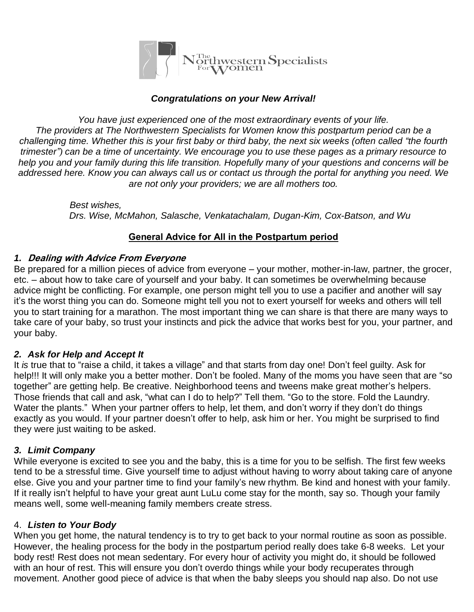

#### *Congratulations on your New Arrival!*

*You have just experienced one of the most extraordinary events of your life. The providers at The Northwestern Specialists for Women know this postpartum period can be a* challenging time. Whether this is your first baby or third baby, the next six weeks (often called "the fourth trimester") can be a time of uncertainty. We encourage you to use these pages as a primary resource to help you and your family during this life transition. Hopefully many of your questions and concerns will be addressed here. Know you can always call us or contact us through the portal for anything you need. We *are not only your providers; we are all mothers too.* 

> *Best wishes, Drs. Wise, McMahon, Salasche, Venkatachalam, Dugan-Kim, Cox-Batson, and Wu*

#### **General Advice for All in the Postpartum period**

#### *1.* **Dealing with Advice From Everyone**

Be prepared for a million pieces of advice from everyone – your mother, mother-in-law, partner, the grocer, etc. – about how to take care of yourself and your baby. It can sometimes be overwhelming because advice might be conflicting. For example, one person might tell you to use a pacifier and another will say it's the worst thing you can do. Someone might tell you not to exert yourself for weeks and others will tell you to start training for a marathon. The most important thing we can share is that there are many ways to take care of your baby, so trust your instincts and pick the advice that works best for you, your partner, and your baby.

#### *2. Ask for Help and Accept It*

It *is* true that to "raise a child, it takes a village" and that starts from day one! Don't feel guilty. Ask for help!!! It will only make you a better mother. Don't be fooled. Many of the moms you have seen that are "so together" are getting help. Be creative. Neighborhood teens and tweens make great mother's helpers. Those friends that call and ask, "what can I do to help?" Tell them. "Go to the store. Fold the Laundry. Water the plants." When your partner offers to help, let them, and don't worry if they don't do things exactly as you would. If your partner doesn't offer to help, ask him or her. You might be surprised to find they were just waiting to be asked.

#### *3. Limit Company*

While everyone is excited to see you and the baby, this is a time for you to be selfish. The first few weeks tend to be a stressful time. Give yourself time to adjust without having to worry about taking care of anyone else. Give you and your partner time to find your family's new rhythm. Be kind and honest with your family. If it really isn't helpful to have your great aunt LuLu come stay for the month, say so. Though your family means well, some well-meaning family members create stress.

#### 4. *Listen to Your Body*

When you get home, the natural tendency is to try to get back to your normal routine as soon as possible. However, the healing process for the body in the postpartum period really does take 6-8 weeks. Let your body rest! Rest does not mean sedentary. For every hour of activity you might do, it should be followed with an hour of rest. This will ensure you don't overdo things while your body recuperates through movement. Another good piece of advice is that when the baby sleeps you should nap also. Do not use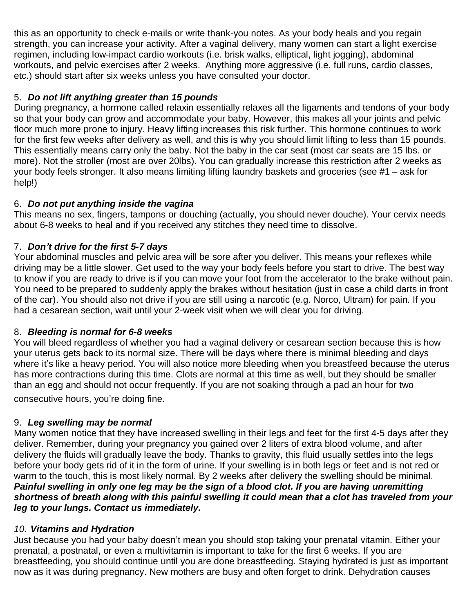this as an opportunity to check e-mails or write thank-you notes. As your body heals and you regain strength, you can increase your activity. After a vaginal delivery, many women can start a light exercise regimen, including low-impact cardio workouts (i.e. brisk walks, elliptical, light jogging), abdominal workouts, and pelvic exercises after 2 weeks. Anything more aggressive (i.e. full runs, cardio classes, etc.) should start after six weeks unless you have consulted your doctor.

## 5. *Do not lift anything greater than 15 pounds*

During pregnancy, a hormone called relaxin essentially relaxes all the ligaments and tendons of your body so that your body can grow and accommodate your baby. However, this makes all your joints and pelvic floor much more prone to injury. Heavy lifting increases this risk further. This hormone continues to work for the first few weeks after delivery as well, and this is why you should limit lifting to less than 15 pounds. This essentially means carry only the baby. Not the baby in the car seat (most car seats are 15 lbs. or more). Not the stroller (most are over 20lbs). You can gradually increase this restriction after 2 weeks as your body feels stronger. It also means limiting lifting laundry baskets and groceries (see #1 – ask for help!)

### 6. *Do not put anything inside the vagina*

This means no sex, fingers, tampons or douching (actually, you should never douche). Your cervix needs about 6-8 weeks to heal and if you received any stitches they need time to dissolve.

## 7. *Don't drive for the first 5-7 days*

Your abdominal muscles and pelvic area will be sore after you deliver. This means your reflexes while driving may be a little slower. Get used to the way your body feels before you start to drive. The best way to know if you are ready to drive is if you can move your foot from the accelerator to the brake without pain. You need to be prepared to suddenly apply the brakes without hesitation (just in case a child darts in front of the car). You should also not drive if you are still using a narcotic (e.g. Norco, Ultram) for pain. If you had a cesarean section, wait until your 2-week visit when we will clear you for driving.

# 8. *Bleeding is normal for 6-8 weeks*

You will bleed regardless of whether you had a vaginal delivery or cesarean section because this is how your uterus gets back to its normal size. There will be days where there is minimal bleeding and days where it's like a heavy period. You will also notice more bleeding when you breastfeed because the uterus has more contractions during this time. Clots are normal at this time as well, but they should be smaller than an egg and should not occur frequently. If you are not soaking through a pad an hour for two consecutive hours, you're doing fine.

## 9. *Leg swelling may be normal*

Many women notice that they have increased swelling in their legs and feet for the first 4-5 days after they deliver. Remember, during your pregnancy you gained over 2 liters of extra blood volume, and after delivery the fluids will gradually leave the body. Thanks to gravity, this fluid usually settles into the legs before your body gets rid of it in the form of urine. If your swelling is in both legs or feet and is not red or warm to the touch, this is most likely normal. By 2 weeks after delivery the swelling should be minimal. Painful swelling in only one leg may be the sign of a blood clot. If you are having unremitting shortness of breath along with this painful swelling it could mean that a clot has traveled from your *leg to your lungs. Contact us immediately.*

### *10. Vitamins and Hydration*

Just because you had your baby doesn't mean you should stop taking your prenatal vitamin. Either your prenatal, a postnatal, or even a multivitamin is important to take for the first 6 weeks. If you are breastfeeding, you should continue until you are done breastfeeding. Staying hydrated is just as important now as it was during pregnancy. New mothers are busy and often forget to drink. Dehydration causes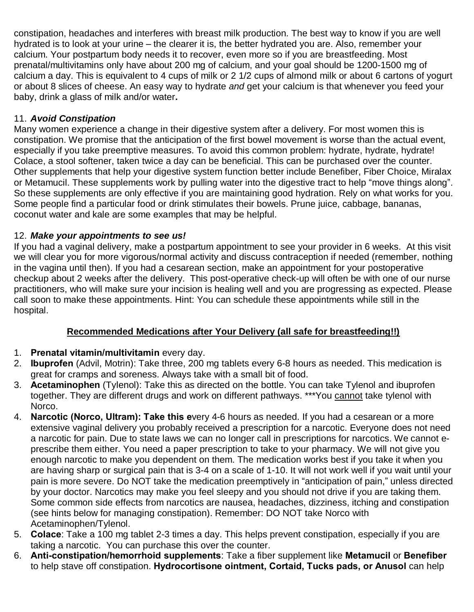constipation, headaches and interferes with breast milk production. The best way to know if you are well hydrated is to look at your urine – the clearer it is, the better hydrated you are. Also, remember your calcium. Your postpartum body needs it to recover, even more so if you are breastfeeding. Most prenatal/multivitamins only have about 200 mg of calcium, and your goal should be 1200-1500 mg of calcium a day. This is equivalent to 4 cups of milk or 2 1/2 cups of almond milk or about 6 cartons of yogurt or about 8 slices of cheese. An easy way to hydrate *and* get your calcium is that whenever you feed your baby, drink a glass of milk and/or water**.** 

## 11. *Avoid Constipation*

Many women experience a change in their digestive system after a delivery. For most women this is constipation. We promise that the anticipation of the first bowel movement is worse than the actual event, especially if you take preemptive measures. To avoid this common problem: hydrate, hydrate, hydrate! Colace, a stool softener, taken twice a day can be beneficial. This can be purchased over the counter. Other supplements that help your digestive system function better include Benefiber, Fiber Choice, Miralax or Metamucil. These supplements work by pulling water into the digestive tract to help "move things along". So these supplements are only effective if you are maintaining good hydration. Rely on what works for you. Some people find a particular food or drink stimulates their bowels. Prune juice, cabbage, bananas, coconut water and kale are some examples that may be helpful.

## 12. *Make your appointments to see us!*

If you had a vaginal delivery, make a postpartum appointment to see your provider in 6 weeks. At this visit we will clear you for more vigorous/normal activity and discuss contraception if needed (remember, nothing in the vagina until then). If you had a cesarean section, make an appointment for your postoperative checkup about 2 weeks after the delivery. This post-operative check-up will often be with one of our nurse practitioners, who will make sure your incision is healing well and you are progressing as expected. Please call soon to make these appointments. Hint: You can schedule these appointments while still in the hospital.

# **Recommended Medications after Your Delivery (all safe for breastfeeding!!)**

- 1. **Prenatal vitamin/multivitamin** every day.
- 2. **Ibuprofen** (Advil, Motrin): Take three, 200 mg tablets every 6-8 hours as needed. This medication is great for cramps and soreness. Always take with a small bit of food.
- 3. **Acetaminophen** (Tylenol): Take this as directed on the bottle. You can take Tylenol and ibuprofen together. They are different drugs and work on different pathways. \*\*\*You cannot take tylenol with Norco.
- 4. **Narcotic (Norco, Ultram): Take this e**very 4-6 hours as needed. If you had a cesarean or a more extensive vaginal delivery you probably received a prescription for a narcotic. Everyone does not need a narcotic for pain. Due to state laws we can no longer call in prescriptions for narcotics. We cannot eprescribe them either. You need a paper prescription to take to your pharmacy. We will not give you enough narcotic to make you dependent on them. The medication works best if you take it when you are having sharp or surgical pain that is 3-4 on a scale of 1-10. It will not work well if you wait until your pain is more severe. Do NOT take the medication preemptively in "anticipation of pain," unless directed by your doctor. Narcotics may make you feel sleepy and you should not drive if you are taking them. Some common side effects from narcotics are nausea, headaches, dizziness, itching and constipation (see hints below for managing constipation). Remember: DO NOT take Norco with Acetaminophen/Tylenol.
- 5. **Colace**: Take a 100 mg tablet 2-3 times a day. This helps prevent constipation, especially if you are taking a narcotic. You can purchase this over the counter.
- 6. **Anti-constipation/hemorrhoid supplements**: Take a fiber supplement like **Metamucil** or **Benefiber** to help stave off constipation. **Hydrocortisone ointment, Cortaid, Tucks pads, or Anusol** can help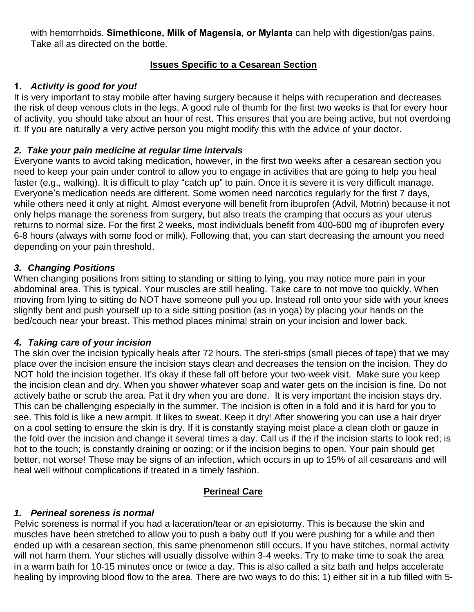with hemorrhoids. **Simethicone, Milk of Magensia, or Mylanta** can help with digestion/gas pains. Take all as directed on the bottle.

### **Issues Specific to a Cesarean Section**

### **1.** *Activity is good for you!*

It is very important to stay mobile after having surgery because it helps with recuperation and decreases the risk of deep venous clots in the legs. A good rule of thumb for the first two weeks is that for every hour of activity, you should take about an hour of rest. This ensures that you are being active, but not overdoing it. If you are naturally a very active person you might modify this with the advice of your doctor.

#### *2. Take your pain medicine at regular time intervals*

Everyone wants to avoid taking medication, however, in the first two weeks after a cesarean section you need to keep your pain under control to allow you to engage in activities that are going to help you heal faster (e.g., walking). It is difficult to play "catch up" to pain. Once it is severe it is very difficult manage. Everyone's medication needs are different. Some women need narcotics regularly for the first 7 days, while others need it only at night. Almost everyone will benefit from ibuprofen (Advil, Motrin) because it not only helps manage the soreness from surgery, but also treats the cramping that occurs as your uterus returns to normal size. For the first 2 weeks, most individuals benefit from 400-600 mg of ibuprofen every 6-8 hours (always with some food or milk). Following that, you can start decreasing the amount you need depending on your pain threshold.

#### *3. Changing Positions*

When changing positions from sitting to standing or sitting to lying, you may notice more pain in your abdominal area. This is typical. Your muscles are still healing. Take care to not move too quickly. When moving from lying to sitting do NOT have someone pull you up. Instead roll onto your side with your knees slightly bent and push yourself up to a side sitting position (as in yoga) by placing your hands on the bed/couch near your breast. This method places minimal strain on your incision and lower back.

### *4. Taking care of your incision*

The skin over the incision typically heals after 72 hours. The steri-strips (small pieces of tape) that we may place over the incision ensure the incision stays clean and decreases the tension on the incision. They do NOT hold the incision together. It's okay if these fall off before your two-week visit. Make sure you keep the incision clean and dry. When you shower whatever soap and water gets on the incision is fine. Do not actively bathe or scrub the area. Pat it dry when you are done. It is very important the incision stays dry. This can be challenging especially in the summer. The incision is often in a fold and it is hard for you to see. This fold is like a new armpit. It likes to sweat. Keep it dry! After showering you can use a hair dryer on a cool setting to ensure the skin is dry. If it is constantly staying moist place a clean cloth or gauze in the fold over the incision and change it several times a day. Call us if the if the incision starts to look red; is hot to the touch; is constantly draining or oozing; or if the incision begins to open. Your pain should get better, not worse! These may be signs of an infection, which occurs in up to 15% of all cesareans and will heal well without complications if treated in a timely fashion.

### **Perineal Care**

# *1. Perineal soreness is normal*

Pelvic soreness is normal if you had a laceration/tear or an episiotomy. This is because the skin and muscles have been stretched to allow you to push a baby out! If you were pushing for a while and then ended up with a cesarean section, this same phenomenon still occurs. If you have stitches, normal activity will not harm them. Your stiches will usually dissolve within 3-4 weeks. Try to make time to soak the area in a warm bath for 10-15 minutes once or twice a day. This is also called a sitz bath and helps accelerate healing by improving blood flow to the area. There are two ways to do this: 1) either sit in a tub filled with 5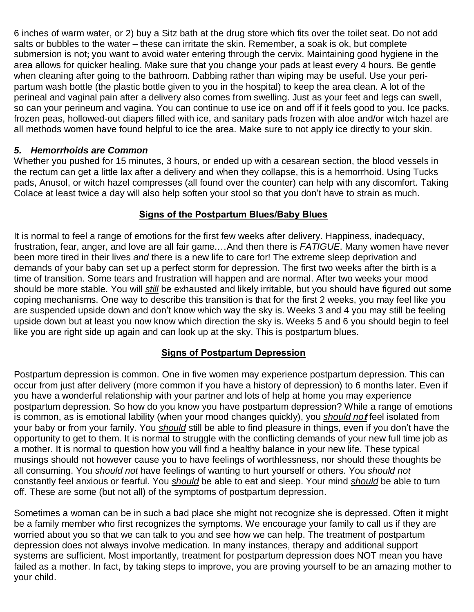6 inches of warm water, or 2) buy a Sitz bath at the drug store which fits over the toilet seat. Do not add salts or bubbles to the water – these can irritate the skin. Remember, a soak is ok, but complete submersion is not; you want to avoid water entering through the cervix. Maintaining good hygiene in the area allows for quicker healing. Make sure that you change your pads at least every 4 hours. Be gentle when cleaning after going to the bathroom. Dabbing rather than wiping may be useful. Use your peripartum wash bottle (the plastic bottle given to you in the hospital) to keep the area clean. A lot of the perineal and vaginal pain after a delivery also comes from swelling. Just as your feet and legs can swell, so can your perineum and vagina. You can continue to use ice on and off if it feels good to you. Ice packs, frozen peas, hollowed-out diapers filled with ice, and sanitary pads frozen with aloe and/or witch hazel are all methods women have found helpful to ice the area. Make sure to not apply ice directly to your skin.

#### *5. Hemorrhoids are Common*

Whether you pushed for 15 minutes, 3 hours, or ended up with a cesarean section, the blood vessels in the rectum can get a little lax after a delivery and when they collapse, this is a hemorrhoid. Using Tucks pads, Anusol, or witch hazel compresses (all found over the counter) can help with any discomfort. Taking Colace at least twice a day will also help soften your stool so that you don't have to strain as much.

### **Signs of the Postpartum Blues/Baby Blues**

It is normal to feel a range of emotions for the first few weeks after delivery. Happiness, inadequacy, frustration, fear, anger, and love are all fair game.…And then there is *FATIGUE*. Many women have never been more tired in their lives *and* there is a new life to care for! The extreme sleep deprivation and demands of your baby can set up a perfect storm for depression. The first two weeks after the birth is a time of transition. Some tears and frustration will happen and are normal. After two weeks your mood should be more stable. You will *still* be exhausted and likely irritable, but you should have figured out some coping mechanisms. One way to describe this transition is that for the first 2 weeks, you may feel like you are suspended upside down and don't know which way the sky is. Weeks 3 and 4 you may still be feeling upside down but at least you now know which direction the sky is. Weeks 5 and 6 you should begin to feel like you are right side up again and can look up at the sky. This is postpartum blues.

### **Signs of Postpartum Depression**

Postpartum depression is common. One in five women may experience postpartum depression. This can occur from just after delivery (more common if you have a history of depression) to 6 months later. Even if you have a wonderful relationship with your partner and lots of help at home you may experience postpartum depression. So how do you know you have postpartum depression? While a range of emotions is common, as is emotional lability (when your mood changes quickly), you *should no***t** feel isolated from your baby or from your family. You *should* still be able to find pleasure in things, even if you don't have the opportunity to get to them. It is normal to struggle with the conflicting demands of your new full time job as a mother. It is normal to question how you will find a healthy balance in your new life. These typical musings should not however cause you to have feelings of worthlessness, nor should these thoughts be all consuming. You *should not* have feelings of wanting to hurt yourself or others. You *should not* constantly feel anxious or fearful. You *should* be able to eat and sleep. Your mind *should* be able to turn off. These are some (but not all) of the symptoms of postpartum depression.

Sometimes a woman can be in such a bad place she might not recognize she is depressed. Often it might be a family member who first recognizes the symptoms. We encourage your family to call us if they are worried about you so that we can talk to you and see how we can help. The treatment of postpartum depression does not always involve medication. In many instances, therapy and additional support systems are sufficient. Most importantly, treatment for postpartum depression does NOT mean you have failed as a mother. In fact, by taking steps to improve, you are proving yourself to be an amazing mother to your child.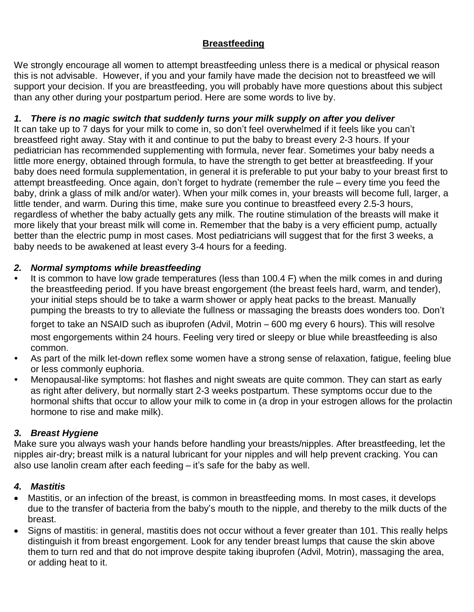# **Breastfeeding**

We strongly encourage all women to attempt breastfeeding unless there is a medical or physical reason this is not advisable. However, if you and your family have made the decision not to breastfeed we will support your decision. If you are breastfeeding, you will probably have more questions about this subject than any other during your postpartum period. Here are some words to live by.

## *1. There is no magic switch that suddenly turns your milk supply on after you deliver*

It can take up to 7 days for your milk to come in, so don't feel overwhelmed if it feels like you can't breastfeed right away. Stay with it and continue to put the baby to breast every 2-3 hours. If your pediatrician has recommended supplementing with formula, never fear. Sometimes your baby needs a little more energy, obtained through formula, to have the strength to get better at breastfeeding. If your baby does need formula supplementation, in general it is preferable to put your baby to your breast first to attempt breastfeeding. Once again, don't forget to hydrate (remember the rule – every time you feed the baby, drink a glass of milk and/or water). When your milk comes in, your breasts will become full, larger, a little tender, and warm. During this time, make sure you continue to breastfeed every 2.5-3 hours, regardless of whether the baby actually gets any milk. The routine stimulation of the breasts will make it more likely that your breast milk will come in. Remember that the baby is a very efficient pump, actually better than the electric pump in most cases. Most pediatricians will suggest that for the first 3 weeks, a baby needs to be awakened at least every 3-4 hours for a feeding.

### *2. Normal symptoms while breastfeeding*

*•* It is common to have low grade temperatures (less than 100.4 F) when the milk comes in and during the breastfeeding period. If you have breast engorgement (the breast feels hard, warm, and tender), your initial steps should be to take a warm shower or apply heat packs to the breast. Manually pumping the breasts to try to alleviate the fullness or massaging the breasts does wonders too. Don't

forget to take an NSAID such as ibuprofen (Advil, Motrin – 600 mg every 6 hours). This will resolve most engorgements within 24 hours. Feeling very tired or sleepy or blue while breastfeeding is also common.

- *•* As part of the milk let-down reflex some women have a strong sense of relaxation, fatigue, feeling blue or less commonly euphoria.
- *•* Menopausal-like symptoms: hot flashes and night sweats are quite common. They can start as early as right after delivery, but normally start 2-3 weeks postpartum. These symptoms occur due to the hormonal shifts that occur to allow your milk to come in (a drop in your estrogen allows for the prolactin hormone to rise and make milk).

# *3. Breast Hygiene*

Make sure you always wash your hands before handling your breasts/nipples. After breastfeeding, let the nipples air-dry; breast milk is a natural lubricant for your nipples and will help prevent cracking. You can also use lanolin cream after each feeding – it's safe for the baby as well.

# *4. Mastitis*

- Mastitis, or an infection of the breast, is common in breastfeeding moms. In most cases, it develops due to the transfer of bacteria from the baby's mouth to the nipple, and thereby to the milk ducts of the breast.
- Signs of mastitis: in general, mastitis does not occur without a fever greater than 101. This really helps distinguish it from breast engorgement. Look for any tender breast lumps that cause the skin above them to turn red and that do not improve despite taking ibuprofen (Advil, Motrin), massaging the area, or adding heat to it.